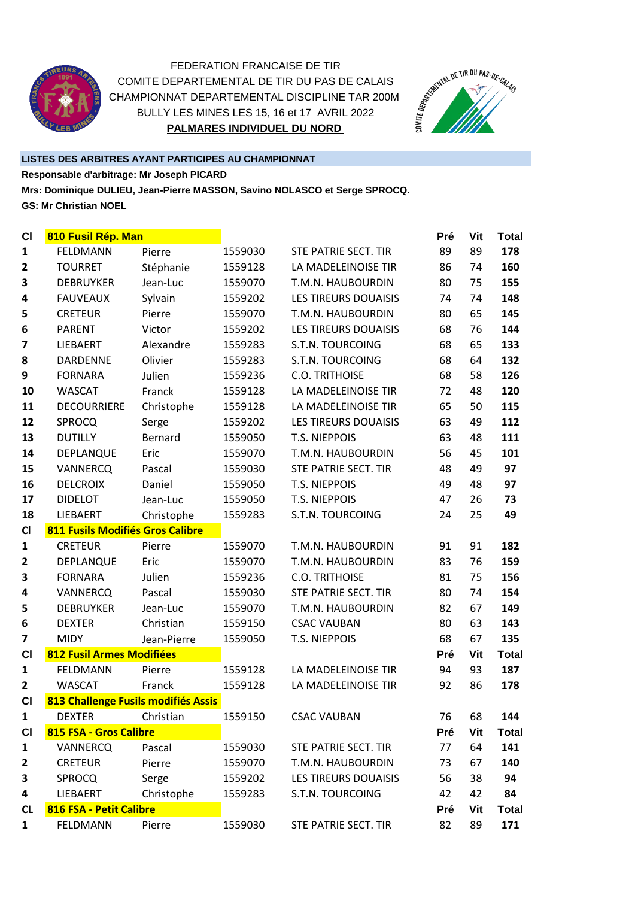

FEDERATION FRANCAISE DE TIR COMITE DEPARTEMENTAL DE TIR DU PAS DE CALAIS CHAMPIONNAT DEPARTEMENTAL DISCIPLINE TAR 200M BULLY LES MINES LES 15, 16 et 17 AVRIL 2022 **PALMARES INDIVIDUEL DU NORD** 



## **LISTES DES ARBITRES AYANT PARTICIPES AU CHAMPIONNAT**

**Responsable d'arbitrage: Mr Joseph PICARD**

**Mrs: Dominique DULIEU, Jean-Pierre MASSON, Savino NOLASCO et Serge SPROCQ.** 

**GS: Mr Christian NOEL**

| <b>CI</b>    | 810 Fusil Rép. Man                  |             |         |                             | Pré | Vit        | Total |
|--------------|-------------------------------------|-------------|---------|-----------------------------|-----|------------|-------|
| 1            | <b>FELDMANN</b>                     | Pierre      | 1559030 | STE PATRIE SECT. TIR        | 89  | 89         | 178   |
| 2            | <b>TOURRET</b>                      | Stéphanie   | 1559128 | LA MADELEINOISE TIR         | 86  | 74         | 160   |
| 3            | <b>DEBRUYKER</b>                    | Jean-Luc    | 1559070 | T.M.N. HAUBOURDIN           | 80  | 75         | 155   |
| 4            | <b>FAUVEAUX</b>                     | Sylvain     | 1559202 | <b>LES TIREURS DOUAISIS</b> | 74  | 74         | 148   |
| 5            | <b>CRETEUR</b>                      | Pierre      | 1559070 | T.M.N. HAUBOURDIN           | 80  | 65         | 145   |
| 6            | <b>PARENT</b>                       | Victor      | 1559202 | LES TIREURS DOUAISIS        | 68  | 76         | 144   |
| 7            | LIEBAERT                            | Alexandre   | 1559283 | <b>S.T.N. TOURCOING</b>     | 68  | 65         | 133   |
| 8            | <b>DARDENNE</b>                     | Olivier     | 1559283 | <b>S.T.N. TOURCOING</b>     | 68  | 64         | 132   |
| 9            | <b>FORNARA</b>                      | Julien      | 1559236 | <b>C.O. TRITHOISE</b>       | 68  | 58         | 126   |
| 10           | <b>WASCAT</b>                       | Franck      | 1559128 | LA MADELEINOISE TIR         | 72  | 48         | 120   |
| 11           | <b>DECOURRIERE</b>                  | Christophe  | 1559128 | LA MADELEINOISE TIR         | 65  | 50         | 115   |
| 12           | SPROCQ                              | Serge       | 1559202 | <b>LES TIREURS DOUAISIS</b> | 63  | 49         | 112   |
| 13           | <b>DUTILLY</b>                      | Bernard     | 1559050 | T.S. NIEPPOIS               | 63  | 48         | 111   |
| 14           | DEPLANQUE                           | Eric        | 1559070 | T.M.N. HAUBOURDIN           | 56  | 45         | 101   |
| 15           | VANNERCQ                            | Pascal      | 1559030 | STE PATRIE SECT. TIR        | 48  | 49         | 97    |
| 16           | <b>DELCROIX</b>                     | Daniel      | 1559050 | T.S. NIEPPOIS               | 49  | 48         | 97    |
| 17           | <b>DIDELOT</b>                      | Jean-Luc    | 1559050 | T.S. NIEPPOIS               | 47  | 26         | 73    |
| 18           | <b>LIEBAERT</b>                     | Christophe  | 1559283 | S.T.N. TOURCOING            | 24  | 25         | 49    |
| CI           | 811 Fusils Modifiés Gros Calibre    |             |         |                             |     |            |       |
| 1            | <b>CRETEUR</b>                      | Pierre      | 1559070 | T.M.N. HAUBOURDIN           | 91  | 91         | 182   |
| 2            | DEPLANQUE                           | Eric        | 1559070 | T.M.N. HAUBOURDIN           | 83  | 76         | 159   |
| 3            | <b>FORNARA</b>                      | Julien      | 1559236 | <b>C.O. TRITHOISE</b>       | 81  | 75         | 156   |
| 4            | VANNERCQ                            | Pascal      | 1559030 | STE PATRIE SECT. TIR        | 80  | 74         | 154   |
| 5            | <b>DEBRUYKER</b>                    | Jean-Luc    | 1559070 | T.M.N. HAUBOURDIN           | 82  | 67         | 149   |
| 6            | <b>DEXTER</b>                       | Christian   | 1559150 | <b>CSAC VAUBAN</b>          | 80  | 63         | 143   |
| 7            | <b>MIDY</b>                         | Jean-Pierre | 1559050 | T.S. NIEPPOIS               | 68  | 67         | 135   |
| <b>CI</b>    | 812 Fusil Armes Modifiées           |             |         |                             | Pré | Vit        | Total |
| 1            | <b>FELDMANN</b>                     | Pierre      | 1559128 | LA MADELEINOISE TIR         | 94  | 93         | 187   |
| $\mathbf{2}$ | <b>WASCAT</b>                       | Franck      | 1559128 | LA MADELEINOISE TIR         | 92  | 86         | 178   |
| <b>CI</b>    | 813 Challenge Fusils modifiés Assis |             |         |                             |     |            |       |
| 1            | <b>DEXTER</b>                       | Christian   | 1559150 | <b>CSAC VAUBAN</b>          | 76  | 68         | 144   |
| CI           | 815 FSA - Gros Calibre              |             |         |                             | Pré | Vit        | Total |
| 1            | VANNERCQ                            | Pascal      | 1559030 | STE PATRIE SECT. TIR        | 77  | 64         | 141   |
| 2            | <b>CRETEUR</b>                      | Pierre      | 1559070 | T.M.N. HAUBOURDIN           | 73  | 67         | 140   |
| 3            | <b>SPROCQ</b>                       | Serge       | 1559202 | <b>LES TIREURS DOUAISIS</b> | 56  | 38         | 94    |
| 4            | LIEBAERT                            | Christophe  | 1559283 | S.T.N. TOURCOING            | 42  | 42         | 84    |
| <b>CL</b>    | 816 FSA - Petit Calibre             |             |         |                             | Pré | <b>Vit</b> | Total |
| 1            | <b>FELDMANN</b>                     | Pierre      | 1559030 | STE PATRIE SECT. TIR        | 82  | 89         | 171   |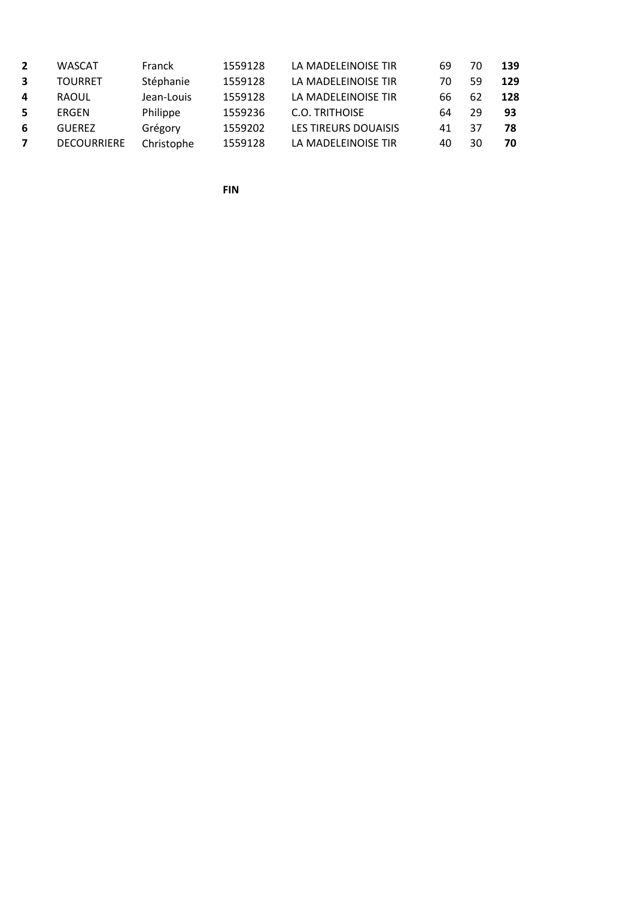| $\overline{2}$ | <b>WASCAT</b>      | Franck     | 1559128 | LA MADELEINOISE TIR  | 69 | 70 | 139 |
|----------------|--------------------|------------|---------|----------------------|----|----|-----|
| 3              | TOURRET            | Stéphanie  | 1559128 | LA MADELEINOISE TIR  | 70 | 59 | 129 |
| 4              | RAOUL              | Jean-Louis | 1559128 | LA MADELEINOISE TIR  | 66 | 62 | 128 |
| -5             | ERGEN              | Philippe   | 1559236 | C.O. TRITHOISE       | 64 | 29 | 93  |
| 6              | <b>GUEREZ</b>      | Grégory    | 1559202 | LES TIREURS DOUAISIS | 41 | 37 | 78  |
| 7              | <b>DECOURRIERE</b> | Christophe | 1559128 | LA MADELEINOISE TIR  | 40 | 30 | 70  |

**FIN**